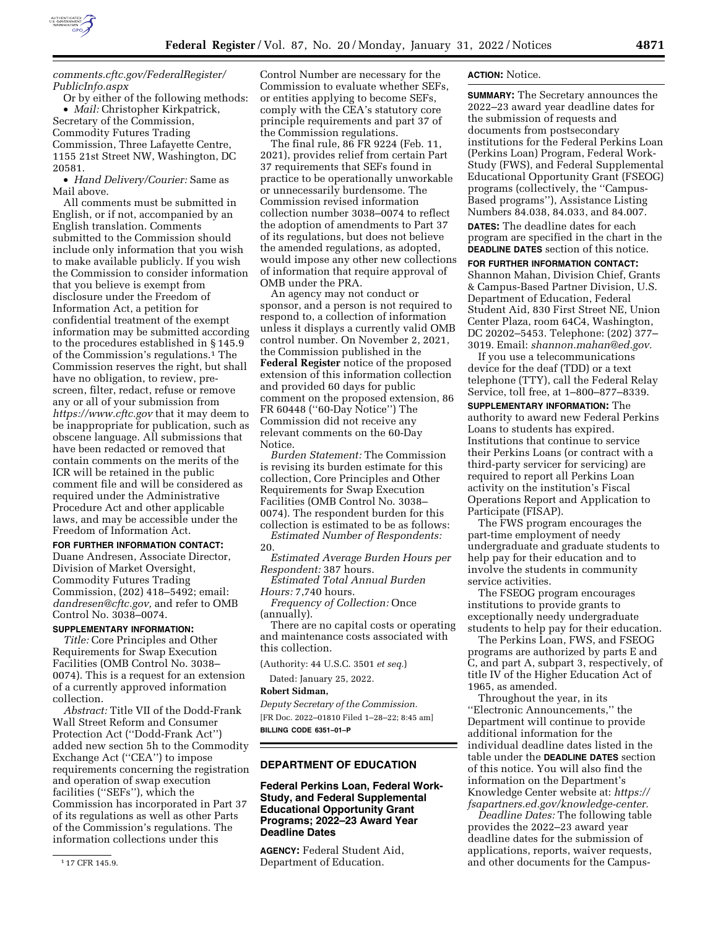

## *[comments.cftc.gov/FederalRegister/](http://comments.cftc.gov/FederalRegister/PublicInfo.aspx)  [PublicInfo.aspx](http://comments.cftc.gov/FederalRegister/PublicInfo.aspx)*

Or by either of the following methods: • *Mail:* Christopher Kirkpatrick, Secretary of the Commission, Commodity Futures Trading Commission, Three Lafayette Centre, 1155 21st Street NW, Washington, DC 20581.

• *Hand Delivery/Courier:* Same as Mail above.

All comments must be submitted in English, or if not, accompanied by an English translation. Comments submitted to the Commission should include only information that you wish to make available publicly. If you wish the Commission to consider information that you believe is exempt from disclosure under the Freedom of Information Act, a petition for confidential treatment of the exempt information may be submitted according to the procedures established in § 145.9 of the Commission's regulations.1 The Commission reserves the right, but shall have no obligation, to review, prescreen, filter, redact, refuse or remove any or all of your submission from *<https://www.cftc.gov>* that it may deem to be inappropriate for publication, such as obscene language. All submissions that have been redacted or removed that contain comments on the merits of the ICR will be retained in the public comment file and will be considered as required under the Administrative Procedure Act and other applicable laws, and may be accessible under the Freedom of Information Act.

### **FOR FURTHER INFORMATION CONTACT:**

Duane Andresen, Associate Director, Division of Market Oversight, Commodity Futures Trading Commission, (202) 418–5492; email: *[dandresen@cftc.gov,](mailto:dandresen@cftc.gov)* and refer to OMB Control No. 3038–0074.

### **SUPPLEMENTARY INFORMATION:**

*Title:* Core Principles and Other Requirements for Swap Execution Facilities (OMB Control No. 3038– 0074). This is a request for an extension of a currently approved information collection.

*Abstract:* Title VII of the Dodd-Frank Wall Street Reform and Consumer Protection Act (''Dodd-Frank Act'') added new section 5h to the Commodity Exchange Act (''CEA'') to impose requirements concerning the registration and operation of swap execution facilities (''SEFs''), which the Commission has incorporated in Part 37 of its regulations as well as other Parts of the Commission's regulations. The information collections under this

Control Number are necessary for the Commission to evaluate whether SEFs, or entities applying to become SEFs, comply with the CEA's statutory core principle requirements and part 37 of the Commission regulations.

The final rule, 86 FR 9224 (Feb. 11, 2021), provides relief from certain Part 37 requirements that SEFs found in practice to be operationally unworkable or unnecessarily burdensome. The Commission revised information collection number 3038–0074 to reflect the adoption of amendments to Part 37 of its regulations, but does not believe the amended regulations, as adopted, would impose any other new collections of information that require approval of OMB under the PRA.

An agency may not conduct or sponsor, and a person is not required to respond to, a collection of information unless it displays a currently valid OMB control number. On November 2, 2021, the Commission published in the **Federal Register** notice of the proposed extension of this information collection and provided 60 days for public comment on the proposed extension, 86 FR 60448 (''60-Day Notice'') The Commission did not receive any relevant comments on the 60-Day Notice.

*Burden Statement:* The Commission is revising its burden estimate for this collection, Core Principles and Other Requirements for Swap Execution Facilities (OMB Control No. 3038– 0074). The respondent burden for this collection is estimated to be as follows:

*Estimated Number of Respondents:*  20.

*Estimated Average Burden Hours per Respondent:* 387 hours.

*Estimated Total Annual Burden Hours:* 7,740 hours.

*Frequency of Collection:* Once (annually).

There are no capital costs or operating and maintenance costs associated with this collection.

(Authority: 44 U.S.C. 3501 *et seq.*)

Dated: January 25, 2022.

### **Robert Sidman,**

*Deputy Secretary of the Commission.*  [FR Doc. 2022–01810 Filed 1–28–22; 8:45 am] **BILLING CODE 6351–01–P** 

# **DEPARTMENT OF EDUCATION**

**Federal Perkins Loan, Federal Work-Study, and Federal Supplemental Educational Opportunity Grant Programs; 2022–23 Award Year Deadline Dates** 

**AGENCY:** Federal Student Aid, Department of Education.

### **ACTION:** Notice.

**SUMMARY:** The Secretary announces the 2022–23 award year deadline dates for the submission of requests and documents from postsecondary institutions for the Federal Perkins Loan (Perkins Loan) Program, Federal Work-Study (FWS), and Federal Supplemental Educational Opportunity Grant (FSEOG) programs (collectively, the ''Campus-Based programs''), Assistance Listing Numbers 84.038, 84.033, and 84.007.

**DATES:** The deadline dates for each program are specified in the chart in the **DEADLINE DATES** section of this notice.

**FOR FURTHER INFORMATION CONTACT:** 

Shannon Mahan, Division Chief, Grants & Campus-Based Partner Division, U.S. Department of Education, Federal Student Aid, 830 First Street NE, Union Center Plaza, room 64C4, Washington, DC 20202–5453. Telephone: (202) 377– 3019. Email: *[shannon.mahan@ed.gov.](mailto:shannon.mahan@ed.gov)* 

If you use a telecommunications device for the deaf (TDD) or a text telephone (TTY), call the Federal Relay Service, toll free, at 1–800–877–8339.

**SUPPLEMENTARY INFORMATION:** The

authority to award new Federal Perkins Loans to students has expired. Institutions that continue to service their Perkins Loans (or contract with a third-party servicer for servicing) are required to report all Perkins Loan activity on the institution's Fiscal Operations Report and Application to Participate (FISAP).

The FWS program encourages the part-time employment of needy undergraduate and graduate students to help pay for their education and to involve the students in community service activities.

The FSEOG program encourages institutions to provide grants to exceptionally needy undergraduate students to help pay for their education.

The Perkins Loan, FWS, and FSEOG programs are authorized by parts E and C, and part A, subpart 3, respectively, of title IV of the Higher Education Act of 1965, as amended.

Throughout the year, in its ''Electronic Announcements,'' the Department will continue to provide additional information for the individual deadline dates listed in the table under the **DEADLINE DATES** section of this notice. You will also find the information on the Department's Knowledge Center website at: *[https://](https://fsapartners.ed.gov/knowledge-center) [fsapartners.ed.gov/knowledge-center.](https://fsapartners.ed.gov/knowledge-center)* 

*Deadline Dates:* The following table provides the 2022–23 award year deadline dates for the submission of applications, reports, waiver requests, and other documents for the Campus-

<sup>1</sup> 17 CFR 145.9.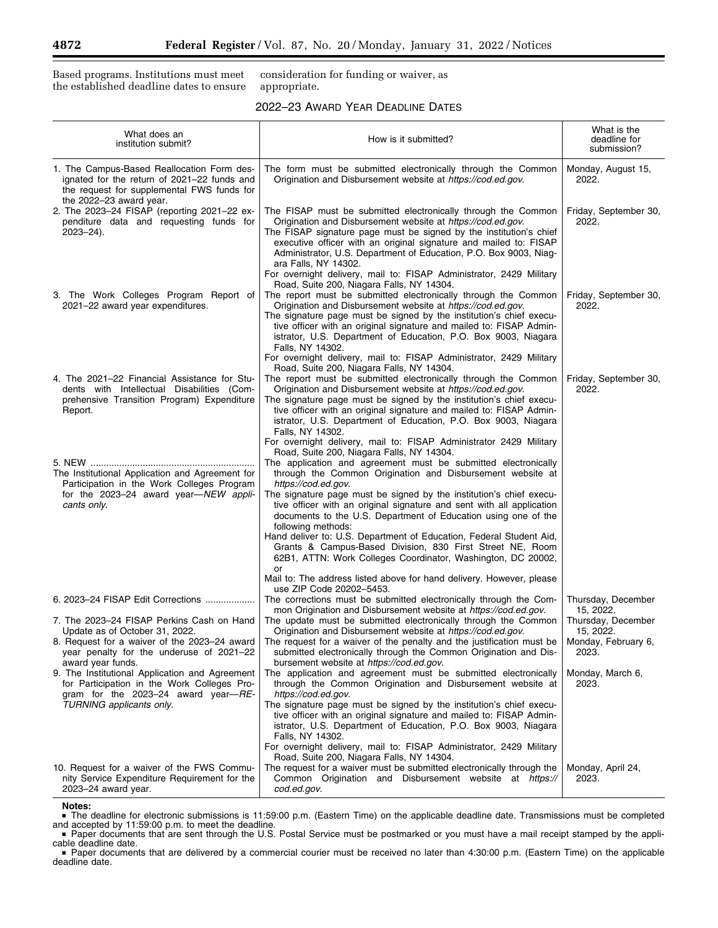Based programs. Institutions must meet the established deadline dates to ensure consideration for funding or waiver, as appropriate.

| 2022-23 AWARD YEAR DEADLINE DATES |  |  |  |
|-----------------------------------|--|--|--|
|-----------------------------------|--|--|--|

| What does an<br>institution submit?                                                                                                                                                          | How is it submitted?                                                                                                                                                                                                                                                                                                                                                                                                                                                                                                                                                                                                                               | What is the<br>deadline for<br>submission?                                   |
|----------------------------------------------------------------------------------------------------------------------------------------------------------------------------------------------|----------------------------------------------------------------------------------------------------------------------------------------------------------------------------------------------------------------------------------------------------------------------------------------------------------------------------------------------------------------------------------------------------------------------------------------------------------------------------------------------------------------------------------------------------------------------------------------------------------------------------------------------------|------------------------------------------------------------------------------|
| 1. The Campus-Based Reallocation Form des-<br>ignated for the return of 2021–22 funds and<br>the request for supplemental FWS funds for<br>the 2022-23 award year.                           | The form must be submitted electronically through the Common<br>Origination and Disbursement website at https://cod.ed.gov.                                                                                                                                                                                                                                                                                                                                                                                                                                                                                                                        | Monday, August 15,<br>2022.                                                  |
| 2. The 2023-24 FISAP (reporting 2021-22 ex-<br>penditure data and requesting funds for<br>$2023 - 24$ ).                                                                                     | The FISAP must be submitted electronically through the Common<br>Origination and Disbursement website at https://cod.ed.gov.<br>The FISAP signature page must be signed by the institution's chief<br>executive officer with an original signature and mailed to: FISAP<br>Administrator, U.S. Department of Education, P.O. Box 9003, Niag-<br>ara Falls, NY 14302.<br>For overnight delivery, mail to: FISAP Administrator, 2429 Military<br>Road, Suite 200, Niagara Falls, NY 14304.                                                                                                                                                           | Friday, September 30,<br>2022.                                               |
| 3. The Work Colleges Program Report of<br>2021-22 award year expenditures.                                                                                                                   | The report must be submitted electronically through the Common<br>Origination and Disbursement website at https://cod.ed.gov.<br>The signature page must be signed by the institution's chief execu-<br>tive officer with an original signature and mailed to: FISAP Admin-<br>istrator, U.S. Department of Education, P.O. Box 9003, Niagara<br>Falls, NY 14302.<br>For overnight delivery, mail to: FISAP Administrator, 2429 Military                                                                                                                                                                                                           | Friday, September 30,<br>2022.                                               |
| 4. The 2021–22 Financial Assistance for Stu-<br>dents with Intellectual Disabilities (Com-<br>prehensive Transition Program) Expenditure<br>Report.                                          | Road, Suite 200, Niagara Falls, NY 14304.<br>The report must be submitted electronically through the Common<br>Origination and Disbursement website at https://cod.ed.gov.<br>The signature page must be signed by the institution's chief execu-<br>tive officer with an original signature and mailed to: FISAP Admin-<br>istrator, U.S. Department of Education, P.O. Box 9003, Niagara<br>Falls, NY 14302.<br>For overnight delivery, mail to: FISAP Administrator 2429 Military                                                                                                                                                               | Friday, September 30,<br>2022.                                               |
| The Institutional Application and Agreement for<br>Participation in the Work Colleges Program<br>for the 2023-24 award year-NEW appli-<br>cants only.                                        | Road, Suite 200, Niagara Falls, NY 14304.<br>The application and agreement must be submitted electronically<br>through the Common Origination and Disbursement website at<br>https://cod.ed.gov.<br>The signature page must be signed by the institution's chief execu-<br>tive officer with an original signature and sent with all application<br>documents to the U.S. Department of Education using one of the<br>following methods:<br>Hand deliver to: U.S. Department of Education, Federal Student Aid,<br>Grants & Campus-Based Division, 830 First Street NE, Room<br>62B1, ATTN: Work Colleges Coordinator, Washington, DC 20002,<br>or |                                                                              |
| 6. 2023-24 FISAP Edit Corrections                                                                                                                                                            | Mail to: The address listed above for hand delivery. However, please<br>use ZIP Code 20202-5453.<br>The corrections must be submitted electronically through the Com-                                                                                                                                                                                                                                                                                                                                                                                                                                                                              | Thursday, December                                                           |
| 7. The 2023–24 FISAP Perkins Cash on Hand<br>Update as of October 31, 2022.<br>8. Request for a waiver of the 2023–24 award<br>year penalty for the underuse of 2021–22<br>award year funds. | mon Origination and Disbursement website at https://cod.ed.gov.<br>The update must be submitted electronically through the Common<br>Origination and Disbursement website at https://cod.ed.gov.<br>The request for a waiver of the penalty and the justification must be<br>submitted electronically through the Common Origination and Dis-<br>bursement website at https://cod.ed.gov.                                                                                                                                                                                                                                                          | 15, 2022.<br>Thursday, December<br>15, 2022.<br>Monday, February 6,<br>2023. |
| 9. The Institutional Application and Agreement<br>for Participation in the Work Colleges Pro-<br>gram for the $2023-24$ award year- $RE-$<br>TURNING applicants only.                        | The application and agreement must be submitted electronically<br>through the Common Origination and Disbursement website at<br>https://cod.ed.gov.<br>The signature page must be signed by the institution's chief execu-<br>tive officer with an original signature and mailed to: FISAP Admin-<br>istrator, U.S. Department of Education, P.O. Box 9003, Niagara<br>Falls, NY 14302.<br>For overnight delivery, mail to: FISAP Administrator, 2429 Military                                                                                                                                                                                     | Monday, March 6,<br>2023.                                                    |
| 10. Request for a waiver of the FWS Commu-<br>nity Service Expenditure Requirement for the<br>2023-24 award year.                                                                            | Road, Suite 200, Niagara Falls, NY 14304.<br>The request for a waiver must be submitted electronically through the<br>Common Origination and Disbursement website at https://<br>cod.ed.gov.                                                                                                                                                                                                                                                                                                                                                                                                                                                       | Monday, April 24,<br>2023.                                                   |

# **Notes:**

■ The deadline for electronic submissions is 11:59:00 p.m. (Eastern Time) on the applicable deadline date. Transmissions must be completed<br>and accepted by 11:59:00 p.m. to meet the deadline.

Paper documents that are sent through the U.S. Postal Service must be postmarked or you must have a mail receipt stamped by the applicable deadline date.

۳

<sup>■</sup> Paper documents that are delivered by a commercial courier must be received no later than 4:30:00 p.m. (Eastern Time) on the applicable deadline date.